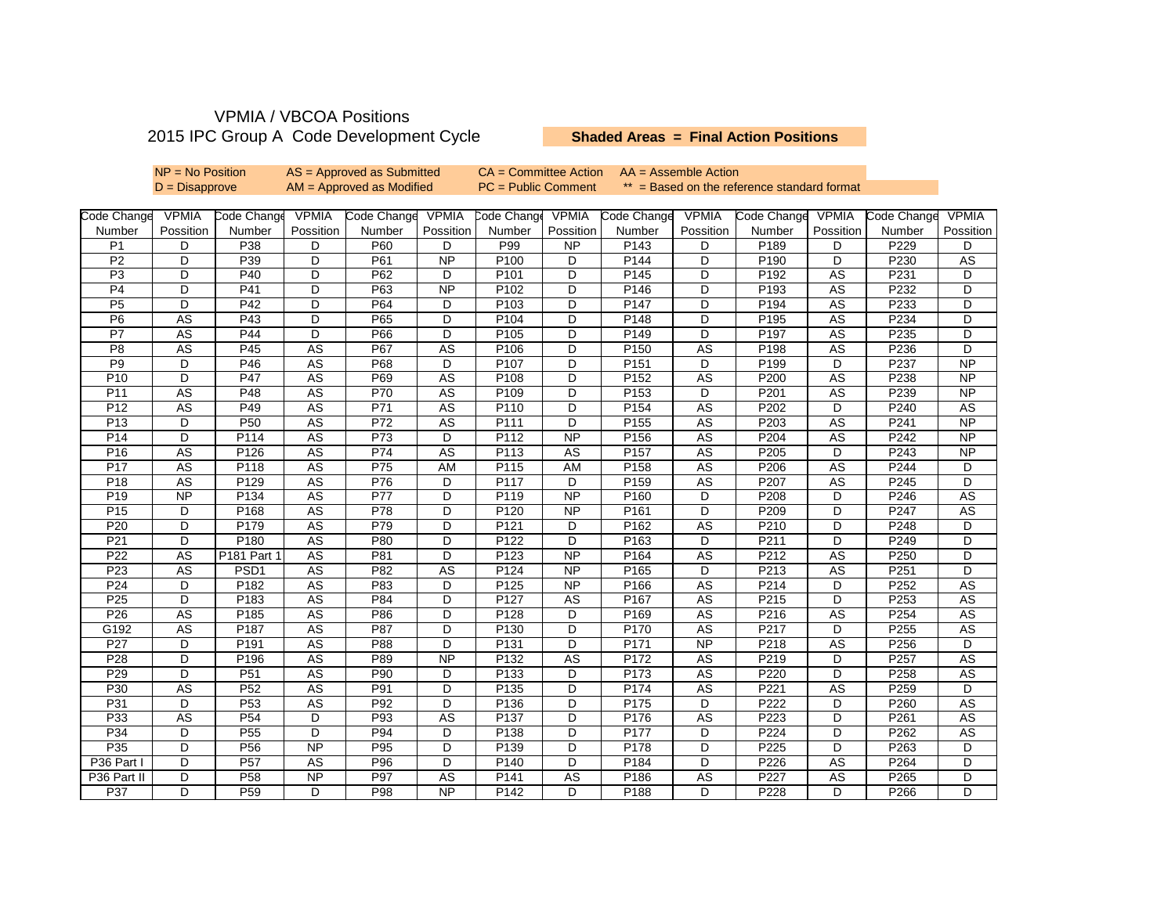## VPMIA / VBCOA Positions 2015 IPC Group A Code Development Cycle

## **Shaded Areas = Final Action Positions**

|                 | $NP = No Position$     |                  | $AS =$ Approved as Submitted |                  |                 | $CA = Committee Action$ |                 | $AA = AssumeM$                              |                         |                  |                        |                  |                 |
|-----------------|------------------------|------------------|------------------------------|------------------|-----------------|-------------------------|-----------------|---------------------------------------------|-------------------------|------------------|------------------------|------------------|-----------------|
|                 | $D = Disappropriate$   |                  | $AM =$ Approved as Modified  |                  |                 | $PC = Public Comment$   |                 | ** = Based on the reference standard format |                         |                  |                        |                  |                 |
|                 |                        |                  |                              |                  |                 |                         |                 |                                             |                         |                  |                        |                  |                 |
| Code Change     | <b>VPMIA</b>           | Code Change      | <b>VPMIA</b>                 | Code Change      | <b>VPMIA</b>    | Code Change             | <b>VPMIA</b>    | Code Change                                 | <b>VPMIA</b>            | Code Change      | <b>VPMIA</b>           | Code Change      | <b>VPMIA</b>    |
| Number          | Possition              | Number           | Possition                    | Number           | Possition       | Number                  | Possition       | Number                                      | Possition               | Number           | Possition              | Number           | Possition       |
| P <sub>1</sub>  | D                      | P38              | D                            | P60              | D               | P99                     | NP              | P143                                        | D                       | P189             | D                      | P229             | D               |
| P <sub>2</sub>  | D                      | P39              | D                            | P61              | <b>NP</b>       | P100                    | D               | P144                                        | D                       | P190             | D                      | P230             | AS              |
| P <sub>3</sub>  | D                      | P40              | D                            | P62              | D               | P <sub>101</sub>        | D               | P145                                        | D                       | P192             | AS                     | P231             | D               |
| P4              | D                      | P41              | D                            | P63              | $\overline{NP}$ | P102                    | D               | P146                                        | D                       | P <sub>193</sub> | <b>AS</b>              | P232             | D               |
| P <sub>5</sub>  | D                      | P42              | D                            | P64              | D               | P103                    | D               | P147                                        | D                       | P194             | AS                     | P233             | D               |
| P <sub>6</sub>  | AS                     | P43              | D                            | P65              | D               | P104                    | D               | P148                                        | D                       | P195             | AS                     | P234             | D               |
| P7              | $\overline{AS}$        | P44              | D                            | P66              | D               | P105                    | D               | P149                                        | D                       | P197             | <b>AS</b>              | P235             | D               |
| P <sub>8</sub>  | AS                     | P45              | $\overline{AS}$              | P67              | AS              | P106                    | D               | P150                                        | AS                      | P198             | <b>AS</b>              | P236             | D               |
| P9              | D                      | P46              | $\overline{\text{AS}}$       | P68              | D               | P107                    | D               | P151                                        | D                       | P199             | D                      | P237             | $\overline{NP}$ |
| P <sub>10</sub> | D                      | P47              | <b>AS</b>                    | P69              | <b>AS</b>       | P108                    | D               | P152                                        | AS                      | P200             | <b>AS</b>              | P238             | <b>NP</b>       |
| P <sub>11</sub> | AS                     | P48              | AS                           | P70              | AS              | P109                    | D               | P153                                        | D                       | P201             | AS                     | P239             | <b>NP</b>       |
| P <sub>12</sub> | AS                     | P49              | $\overline{AS}$              | P71              | AS              | P110                    | D               | P154                                        | AS                      | P202             | D                      | P240             | AS              |
| P13             | $\overline{D}$         | P <sub>50</sub>  | <b>AS</b>                    | P72              | <b>AS</b>       | P111                    | D               | P155                                        | <b>AS</b>               | P203             | <b>AS</b>              | P241             | $\overline{NP}$ |
| P14             | D                      | P114             | $\overline{\text{AS}}$       | P73              | D               | P112                    | $\overline{NP}$ | P156                                        | <b>AS</b>               | P204             | <b>AS</b>              | P242             | <b>NP</b>       |
| P16             | AS                     | P126             | AS                           | P74              | AS              | P113                    | AS              | P157                                        | AS                      | P205             | D                      | P243             | <b>NP</b>       |
| P <sub>17</sub> | AS                     | P118             | AS                           | P75              | AM              | P115                    | AM              | P158                                        | AS                      | P206             | AS                     | P244             | D               |
| P <sub>18</sub> | AS                     | P129             | $\overline{AS}$              | P76              | D               | P117                    | D               | P159                                        | AS                      | P207             | AS                     | P245             | D               |
| P <sub>19</sub> | $\overline{NP}$        | P134             | $\overline{\text{AS}}$       | $\overline{P77}$ | D               | P119                    | $\overline{NP}$ | P <sub>160</sub>                            | D                       | P208             | D                      | P246             | <b>AS</b>       |
| P <sub>15</sub> | D                      | P168             | $\overline{\text{AS}}$       | P78              | D               | P120                    | <b>NP</b>       | P161                                        | D                       | P209             | D                      | P247             | <b>AS</b>       |
| P20             | D                      | P179             | $\overline{AS}$              | P79              | D               | P <sub>121</sub>        | D               | P162                                        | <b>AS</b>               | P210             | D                      | P248             | D               |
| P21             | D                      | P180             | $\overline{AS}$              | P80              | D               | P122                    | D               | P163                                        | D                       | P211             | D                      | P249             | D               |
| P <sub>22</sub> | AS                     | P181 Part 1      | $\overline{AS}$              | P81              | D               | P123                    | <b>NP</b>       | P164                                        | <b>AS</b>               | P212             | <b>AS</b>              | P250             | D               |
| P <sub>23</sub> | $\overline{\text{AS}}$ | PSD <sub>1</sub> | $\overline{\text{AS}}$       | P82              | <b>AS</b>       | P124                    | $\overline{NP}$ | P165                                        | $\overline{\mathsf{D}}$ | P213             | <b>AS</b>              | P <sub>251</sub> | $\overline{D}$  |
| P <sub>24</sub> | D                      | P <sub>182</sub> | $\overline{\text{AS}}$       | P83              | D               | P125                    | $\overline{NP}$ | P166                                        | <b>AS</b>               | P214             | D                      | P <sub>252</sub> | <b>AS</b>       |
| P <sub>25</sub> | D                      | P183             | $\overline{AS}$              | P84              | D               | P127                    | AS              | P167                                        | AS                      | P215             | D                      | P253             | AS              |
| P <sub>26</sub> | AS                     | P185             | AS                           | P86              | D               | P128                    | D               | P169                                        | AS                      | P216             | AS                     | P254             | AS              |
| G192            | AS                     | P187             | <b>AS</b>                    | P87              | D               | P130                    | D               | P170                                        | <b>AS</b>               | P217             | D                      | P255             | AS              |
| P27             | D                      | P191             | <b>AS</b>                    | P88              | D               | P131                    | D               | P171                                        | <b>NP</b>               | P218             | $\overline{\text{AS}}$ | P256             | D               |
| P <sub>28</sub> | D                      | P196             | AS                           | P89              | <b>NP</b>       | P132                    | AS              | P172                                        | AS                      | P219             | D                      | P257             | <b>AS</b>       |
| P <sub>29</sub> | D                      | P <sub>51</sub>  | AS                           | P90              | D               | P133                    | D               | P173                                        | AS                      | P220             | D                      | P258             | AS              |
| P30             | AS                     | P <sub>52</sub>  | $\overline{AS}$              | P91              | D               | P135                    | D               | P174                                        | <b>AS</b>               | P221             | AS                     | P259             | D               |
| P31             | D                      | P <sub>53</sub>  | AS                           | P92              | D               | P136                    | D               | P175                                        | D                       | P222             | D                      | P260             | AS              |
| P <sub>33</sub> | <b>AS</b>              | P <sub>54</sub>  | $\overline{D}$               | P93              | <b>AS</b>       | P <sub>137</sub>        | $\overline{D}$  | P176                                        | <b>AS</b>               | P223             | $\overline{D}$         | P <sub>261</sub> | <b>AS</b>       |
| P34             | D                      | P <sub>55</sub>  | D                            | P94              | D               | P138                    | D               | P177                                        | D                       | P224             | D                      | P262             | AS              |
| P <sub>35</sub> | D                      | P <sub>56</sub>  | <b>NP</b>                    | P95              | D               | P139                    | D               | P178                                        | D                       | P225             | D                      | P263             | D               |
| P36 Part I      | D                      | P <sub>57</sub>  | AS                           | P96              | D               | P140                    | D               | P184                                        | D                       | P226             | AS                     | P264             | D               |
| P36 Part II     | $\overline{D}$         | P <sub>58</sub>  | $\overline{NP}$              | P97              | <b>AS</b>       | P141                    | AS              | P186                                        | <b>AS</b>               | P227             | <b>AS</b>              | P265             | D               |
| P37             | D                      | P <sub>59</sub>  | D                            | P98              | NP              | P <sub>142</sub>        | D               | P188                                        | D                       | P228             | D                      | P266             | D               |